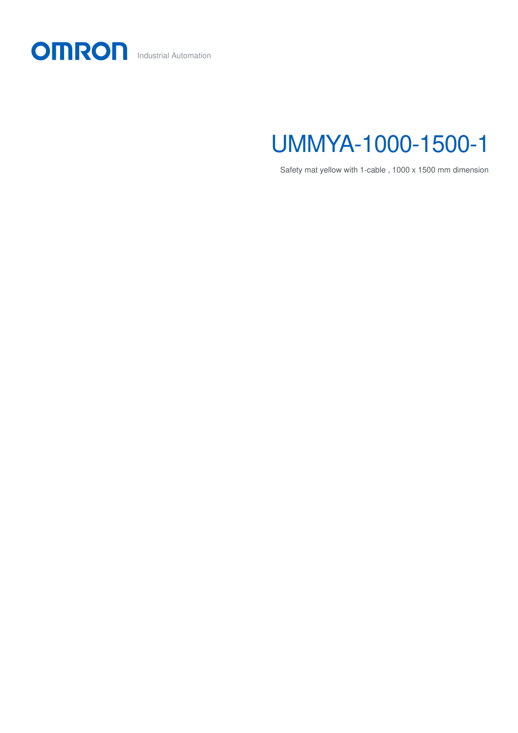

## UMMYA-1000-1500-1

Safety mat yellow with 1-cable , 1000 x 1500 mm dimension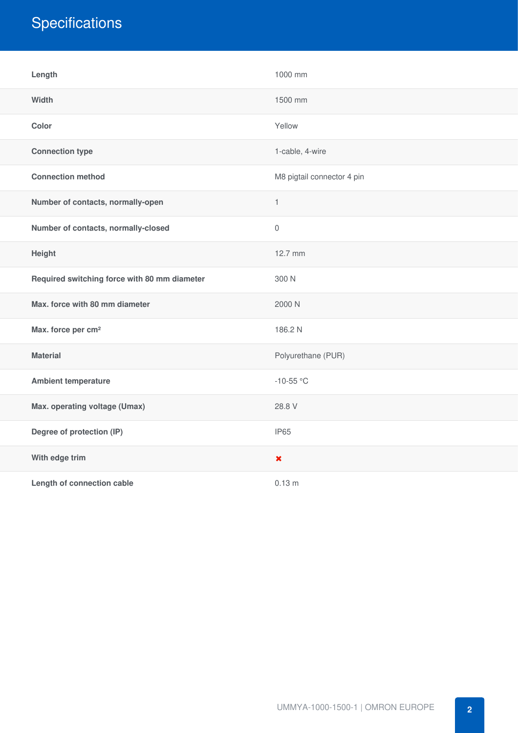## **Specifications**

| Length                                       | 1000 mm                    |
|----------------------------------------------|----------------------------|
| Width                                        | 1500 mm                    |
| Color                                        | Yellow                     |
| <b>Connection type</b>                       | 1-cable, 4-wire            |
| <b>Connection method</b>                     | M8 pigtail connector 4 pin |
| Number of contacts, normally-open            | $\mathbf{1}$               |
| Number of contacts, normally-closed          | $\mathbf 0$                |
| Height                                       | 12.7 mm                    |
| Required switching force with 80 mm diameter | 300 N                      |
| Max. force with 80 mm diameter               | 2000 N                     |
| Max. force per cm <sup>2</sup>               | 186.2 N                    |
| <b>Material</b>                              | Polyurethane (PUR)         |
| <b>Ambient temperature</b>                   | $-10-55$ °C                |
| Max. operating voltage (Umax)                | 28.8 V                     |
| Degree of protection (IP)                    | IP65                       |
| With edge trim                               | $\pmb{\times}$             |
| Length of connection cable                   | 0.13 <sub>m</sub>          |